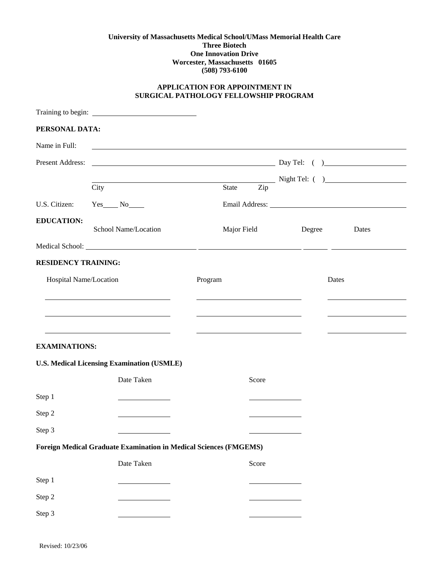## **University of Massachusetts Medical School/UMass Memorial Health Care Three Biotech One Innovation Drive Worcester, Massachusetts 01605 (508) 793-6100**

## **APPLICATION FOR APPOINTMENT IN SURGICAL PATHOLOGY FELLOWSHIP PROGRAM**

| PERSONAL DATA:             |                                                                   |                                                                                              |        |                         |
|----------------------------|-------------------------------------------------------------------|----------------------------------------------------------------------------------------------|--------|-------------------------|
| Name in Full:              |                                                                   | <u> 1980 - Johann Barn, fransk politik (d. 1980)</u>                                         |        |                         |
| Present Address:           |                                                                   | $\overline{\phantom{a}}$ Day Tel: $\overline{\phantom{a}}$ Day Tel: $\overline{\phantom{a}}$ |        |                         |
|                            |                                                                   | Night Tel: ( )                                                                               |        |                         |
|                            | City                                                              | <b>State</b><br>Zip                                                                          |        |                         |
| U.S. Citizen:              | $Yes$ No $No$                                                     |                                                                                              |        | Email Address: No. 1996 |
| <b>EDUCATION:</b>          | School Name/Location                                              | Major Field                                                                                  | Degree | Dates                   |
|                            |                                                                   |                                                                                              |        |                         |
| <b>RESIDENCY TRAINING:</b> |                                                                   |                                                                                              |        |                         |
| Hospital Name/Location     |                                                                   | Program                                                                                      | Dates  |                         |
|                            |                                                                   |                                                                                              |        |                         |
|                            |                                                                   |                                                                                              |        |                         |
|                            |                                                                   |                                                                                              |        |                         |
| <b>EXAMINATIONS:</b>       |                                                                   |                                                                                              |        |                         |
|                            | U.S. Medical Licensing Examination (USMLE)                        |                                                                                              |        |                         |
|                            | Date Taken                                                        | Score                                                                                        |        |                         |
| Step 1                     |                                                                   |                                                                                              |        |                         |
| Step 2                     |                                                                   |                                                                                              |        |                         |
| Step 3                     |                                                                   |                                                                                              |        |                         |
|                            | Foreign Medical Graduate Examination in Medical Sciences (FMGEMS) |                                                                                              |        |                         |
|                            | Date Taken                                                        | Score                                                                                        |        |                         |
| Step 1                     |                                                                   |                                                                                              |        |                         |
| Step 2                     |                                                                   |                                                                                              |        |                         |
| Step 3                     |                                                                   |                                                                                              |        |                         |